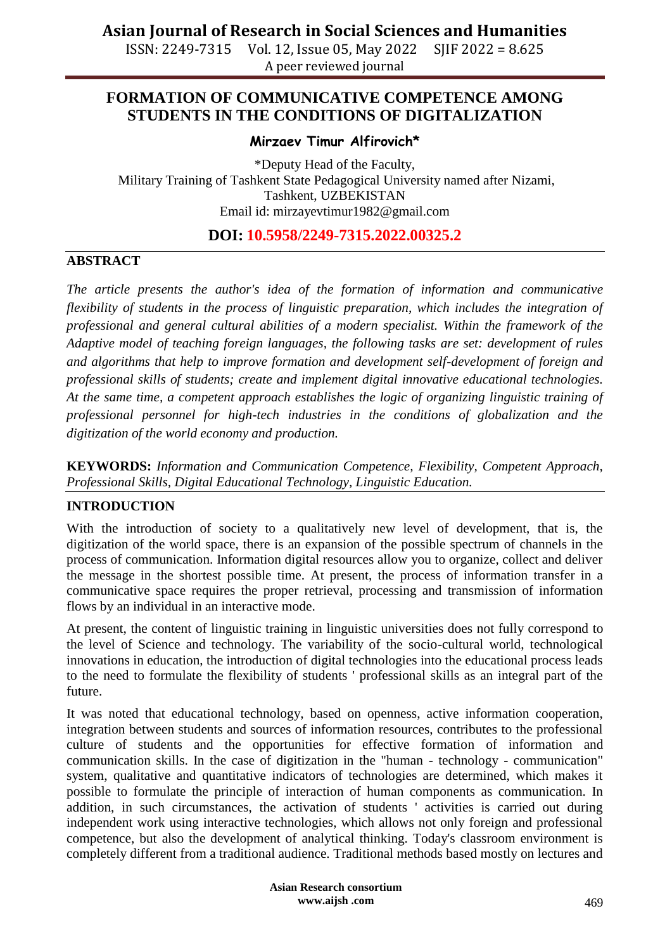ISSN: 2249-7315 Vol. 12, Issue 05, May 2022 SJIF 2022 = 8.625 A peer reviewed journal

### **FORMATION OF COMMUNICATIVE COMPETENCE AMONG STUDENTS IN THE CONDITIONS OF DIGITALIZATION**

#### **Mirzaev Timur Alfirovich\***

\*Deputy Head of the Faculty, Military Training of Tashkent State Pedagogical University named after Nizami, Tashkent, UZBEKISTAN Email id: mirzayevtimur1982@gmail.com

### **DOI: 10.5958/2249-7315.2022.00325.2**

#### **ABSTRACT**

*The article presents the author's idea of the formation of information and communicative flexibility of students in the process of linguistic preparation, which includes the integration of professional and general cultural abilities of a modern specialist. Within the framework of the Adaptive model of teaching foreign languages, the following tasks are set: development of rules and algorithms that help to improve formation and development self-development of foreign and professional skills of students; create and implement digital innovative educational technologies. At the same time, a competent approach establishes the logic of organizing linguistic training of professional personnel for high-tech industries in the conditions of globalization and the digitization of the world economy and production.*

**KEYWORDS:** *Information and Communication Competence, Flexibility, Competent Approach, Professional Skills, Digital Educational Technology, Linguistic Education.*

#### **INTRODUCTION**

With the introduction of society to a qualitatively new level of development, that is, the digitization of the world space, there is an expansion of the possible spectrum of channels in the process of communication. Information digital resources allow you to organize, collect and deliver the message in the shortest possible time. At present, the process of information transfer in a communicative space requires the proper retrieval, processing and transmission of information flows by an individual in an interactive mode.

At present, the content of linguistic training in linguistic universities does not fully correspond to the level of Science and technology. The variability of the socio-cultural world, technological innovations in education, the introduction of digital technologies into the educational process leads to the need to formulate the flexibility of students ' professional skills as an integral part of the future.

It was noted that educational technology, based on openness, active information cooperation, integration between students and sources of information resources, contributes to the professional culture of students and the opportunities for effective formation of information and communication skills. In the case of digitization in the "human - technology - communication" system, qualitative and quantitative indicators of technologies are determined, which makes it possible to formulate the principle of interaction of human components as communication. In addition, in such circumstances, the activation of students ' activities is carried out during independent work using interactive technologies, which allows not only foreign and professional competence, but also the development of analytical thinking. Today's classroom environment is completely different from a traditional audience. Traditional methods based mostly on lectures and

> **Asian Research consortium www.aijsh .com**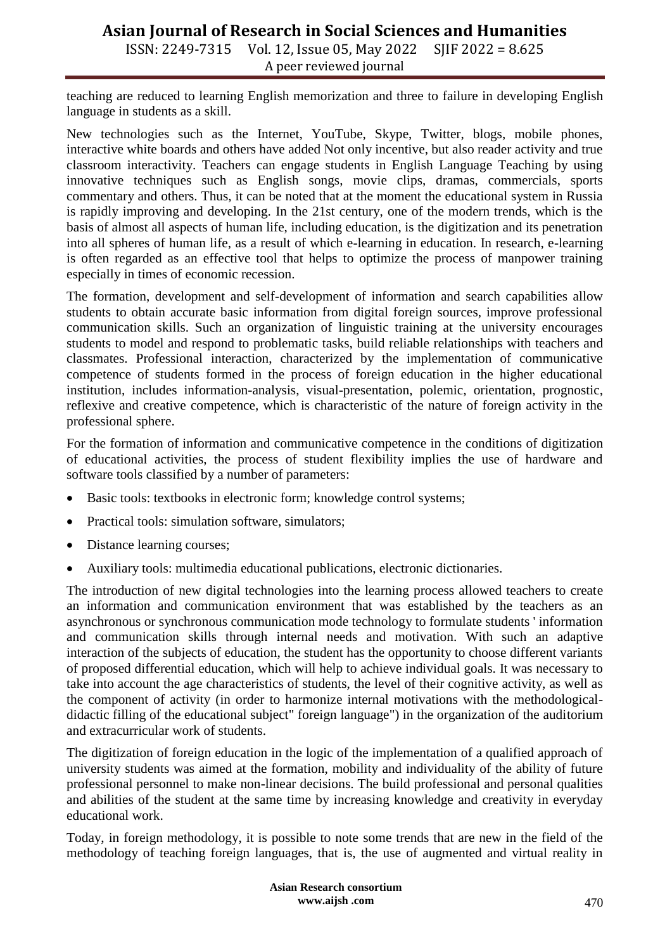### **Asian Journal of Research in Social Sciences and Humanities**

ISSN: 2249-7315 Vol. 12, Issue 05, May 2022 SJIF 2022 = 8.625 A peer reviewed journal

teaching are reduced to learning English memorization and three to failure in developing English language in students as a skill.

New technologies such as the Internet, YouTube, Skype, Twitter, blogs, mobile phones, interactive white boards and others have added Not only incentive, but also reader activity and true classroom interactivity. Teachers can engage students in English Language Teaching by using innovative techniques such as English songs, movie clips, dramas, commercials, sports commentary and others. Thus, it can be noted that at the moment the educational system in Russia is rapidly improving and developing. In the 21st century, one of the modern trends, which is the basis of almost all aspects of human life, including education, is the digitization and its penetration into all spheres of human life, as a result of which e-learning in education. In research, e-learning is often regarded as an effective tool that helps to optimize the process of manpower training especially in times of economic recession.

The formation, development and self-development of information and search capabilities allow students to obtain accurate basic information from digital foreign sources, improve professional communication skills. Such an organization of linguistic training at the university encourages students to model and respond to problematic tasks, build reliable relationships with teachers and classmates. Professional interaction, characterized by the implementation of communicative competence of students formed in the process of foreign education in the higher educational institution, includes information-analysis, visual-presentation, polemic, orientation, prognostic, reflexive and creative competence, which is characteristic of the nature of foreign activity in the professional sphere.

For the formation of information and communicative competence in the conditions of digitization of educational activities, the process of student flexibility implies the use of hardware and software tools classified by a number of parameters:

- Basic tools: textbooks in electronic form; knowledge control systems;
- Practical tools: simulation software, simulators;
- Distance learning courses;
- Auxiliary tools: multimedia educational publications, electronic dictionaries.

The introduction of new digital technologies into the learning process allowed teachers to create an information and communication environment that was established by the teachers as an asynchronous or synchronous communication mode technology to formulate students ' information and communication skills through internal needs and motivation. With such an adaptive interaction of the subjects of education, the student has the opportunity to choose different variants of proposed differential education, which will help to achieve individual goals. It was necessary to take into account the age characteristics of students, the level of their cognitive activity, as well as the component of activity (in order to harmonize internal motivations with the methodologicaldidactic filling of the educational subject" foreign language") in the organization of the auditorium and extracurricular work of students.

The digitization of foreign education in the logic of the implementation of a qualified approach of university students was aimed at the formation, mobility and individuality of the ability of future professional personnel to make non-linear decisions. The build professional and personal qualities and abilities of the student at the same time by increasing knowledge and creativity in everyday educational work.

Today, in foreign methodology, it is possible to note some trends that are new in the field of the methodology of teaching foreign languages, that is, the use of augmented and virtual reality in

> **Asian Research consortium www.aijsh .com**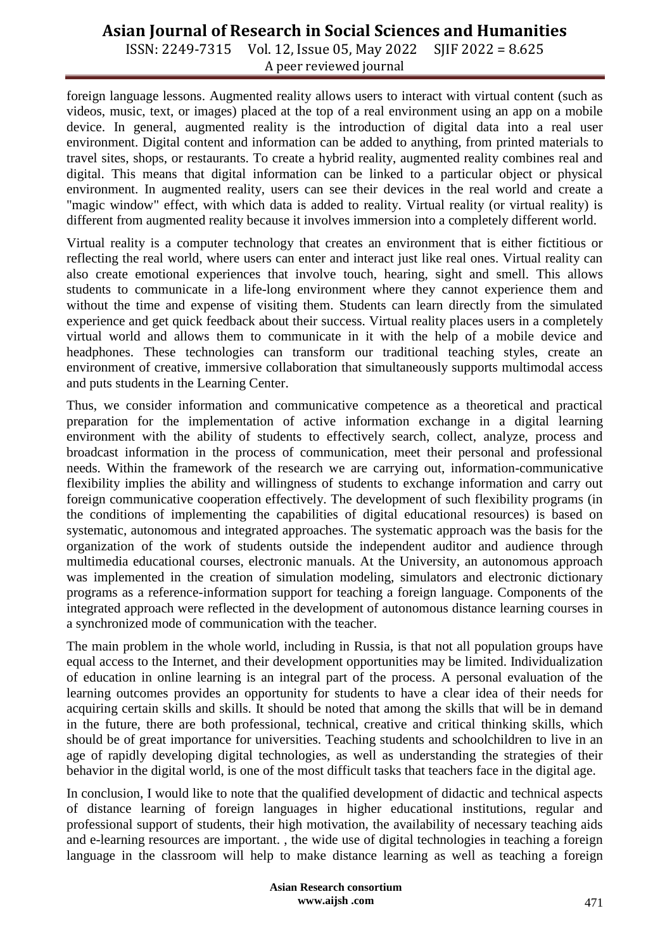# **Asian Journal of Research in Social Sciences and Humanities**

ISSN: 2249-7315 Vol. 12, Issue 05, May 2022 SJIF 2022 = 8.625 A peer reviewed journal

foreign language lessons. Augmented reality allows users to interact with virtual content (such as videos, music, text, or images) placed at the top of a real environment using an app on a mobile device. In general, augmented reality is the introduction of digital data into a real user environment. Digital content and information can be added to anything, from printed materials to travel sites, shops, or restaurants. To create a hybrid reality, augmented reality combines real and digital. This means that digital information can be linked to a particular object or physical environment. In augmented reality, users can see their devices in the real world and create a "magic window" effect, with which data is added to reality. Virtual reality (or virtual reality) is different from augmented reality because it involves immersion into a completely different world.

Virtual reality is a computer technology that creates an environment that is either fictitious or reflecting the real world, where users can enter and interact just like real ones. Virtual reality can also create emotional experiences that involve touch, hearing, sight and smell. This allows students to communicate in a life-long environment where they cannot experience them and without the time and expense of visiting them. Students can learn directly from the simulated experience and get quick feedback about their success. Virtual reality places users in a completely virtual world and allows them to communicate in it with the help of a mobile device and headphones. These technologies can transform our traditional teaching styles, create an environment of creative, immersive collaboration that simultaneously supports multimodal access and puts students in the Learning Center.

Thus, we consider information and communicative competence as a theoretical and practical preparation for the implementation of active information exchange in a digital learning environment with the ability of students to effectively search, collect, analyze, process and broadcast information in the process of communication, meet their personal and professional needs. Within the framework of the research we are carrying out, information-communicative flexibility implies the ability and willingness of students to exchange information and carry out foreign communicative cooperation effectively. The development of such flexibility programs (in the conditions of implementing the capabilities of digital educational resources) is based on systematic, autonomous and integrated approaches. The systematic approach was the basis for the organization of the work of students outside the independent auditor and audience through multimedia educational courses, electronic manuals. At the University, an autonomous approach was implemented in the creation of simulation modeling, simulators and electronic dictionary programs as a reference-information support for teaching a foreign language. Components of the integrated approach were reflected in the development of autonomous distance learning courses in a synchronized mode of communication with the teacher.

The main problem in the whole world, including in Russia, is that not all population groups have equal access to the Internet, and their development opportunities may be limited. Individualization of education in online learning is an integral part of the process. A personal evaluation of the learning outcomes provides an opportunity for students to have a clear idea of their needs for acquiring certain skills and skills. It should be noted that among the skills that will be in demand in the future, there are both professional, technical, creative and critical thinking skills, which should be of great importance for universities. Teaching students and schoolchildren to live in an age of rapidly developing digital technologies, as well as understanding the strategies of their behavior in the digital world, is one of the most difficult tasks that teachers face in the digital age.

In conclusion, I would like to note that the qualified development of didactic and technical aspects of distance learning of foreign languages in higher educational institutions, regular and professional support of students, their high motivation, the availability of necessary teaching aids and e-learning resources are important. , the wide use of digital technologies in teaching a foreign language in the classroom will help to make distance learning as well as teaching a foreign